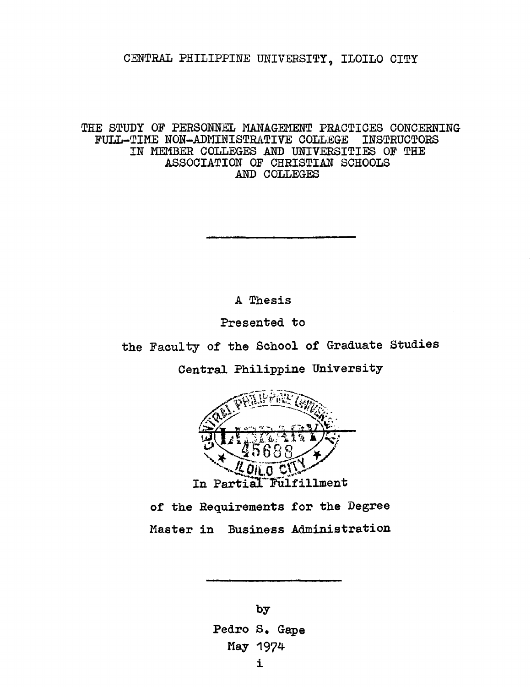## **CENTRAL PHILIPPINE UNIVERSITY, ILOILO CITY**

THE STUDY OF PERSONNEL MANAGEMENT PRACTICES CONCERNING<br>FULL-TIME NON-ADMINISTRATIVE COLLEGE INSTRUCTORS FULL-TIME NON-ADMINISTRATIVE COLLEGE **IN MEMBER COLLEGES AND UNIVERSITIES OF THE ASSOCIATION OF CHRISTIAN SCHOOLS AND COLLEGES**

**A Thesis**

**Presented to**

**the Faculty of the School of Graduate Studies**

**Central Philippine University**



**of the Requirements for the Degree Master in Business Administration**

> **by Pedro S. Gape May 1974** i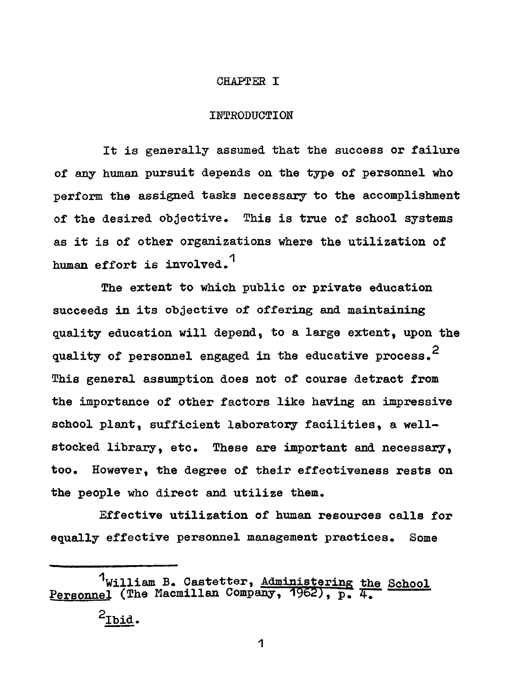## **CHAPTER I**

## **INTRODUCTION**

**It is generally assumed that the success or failure of any human pursuit depends on the type of personnel who perform the assigned tasks necessary to the accomplishment of the desired objective. This is true of school systems as it is of other organizations where the utilization of human effort is involved.1**

**The extent to which public or private education succeeds in its objective of offering and maintaining quality education will depend, to a large extent, upon the quality of personnel engaged in the educative process.2 This general assumption does not of course detract from the importance of other factors like having an impressive school plant, sufficient laboratory facilities, a wellstocked library, etc. These are important and necessary, too. However, the degree of their effectiveness rests on the people who direct and utilize them.**

**Effective utilization of human resources calls for equally effective personnel management practices. Some**

**<sup>1</sup>William B. Castetter, Administering the School** Personnel (The Macmillan Company, 1962), p. 4.  $2_{\text{IDid}}$ .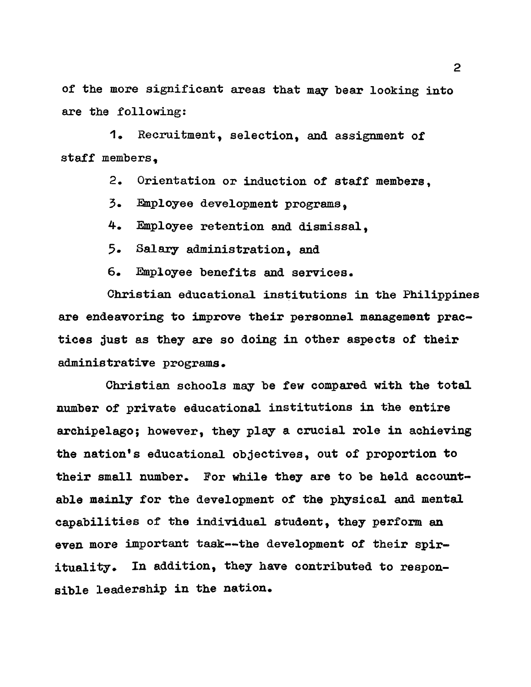**of the more significant areas that may bear looking into are the following:**

**1. Recruitment, selection, and assignment of staff members,**

**2. Orientation or induction of staff members,**

**3 . Employee development programs,**

**4 . Employee retention and dismissal,**

**5 . Salary administration, and**

**6 . Employee benefits and services.**

**Christian educational institutions in the Philippines are endeavoring to improve their personnel management practices just as they are so doing in other aspects of their administrative programs.**

**Christian schools may be few compared with the total number of private educational institutions in the entire archipelago; however, they play a crucial role in achieving the nation's educational objectives, out of proportion to** their small number. For while they are to be held account**able mainly for the development of the physical and mental** capabilities of the individual student, they perform an even more important task--the development of their spir**ituality. In addition. they have contributed to responsible leadership in the nation.**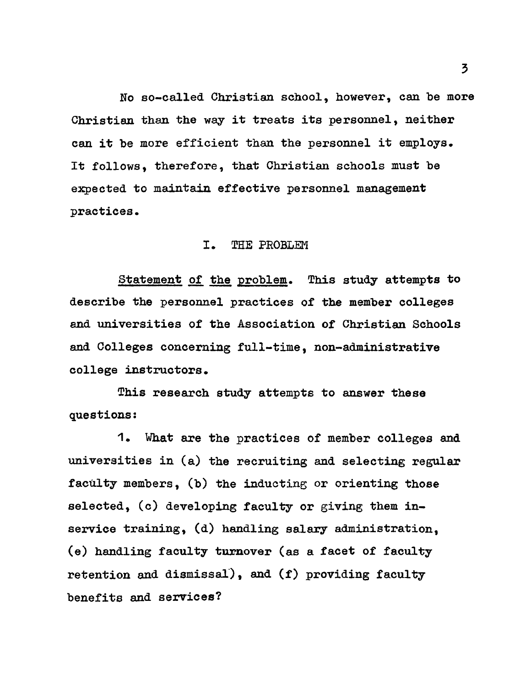No so-called Christian school, however, can be more **Christian than the way it treats its personnel, neither can it he more efficient than the personnel it employs. It follows, therefore, that Christian schools must he expected to maintain effective personnel management practices.**

## **I. THE PROBLEM**

**Statement of the problem. This study attempts to describe the personnel practices of the member colleges and universities of the Association of Christian Schools and Colleges concerning full-time, non-administrative college instructors.**

**This research study attempts to answer these questions:**

**1 . What are the practices of member colleges and universities in (a) the recruiting and selecting regular** faculty members, (b) the inducting or orienting those **selected, (c) developing faculty or giving them inservice training, (d) handling salary administration, (e) handling faculty turnover (as a facet of faculty retention and dismissal), and (f) providing faculty benefits and services?**